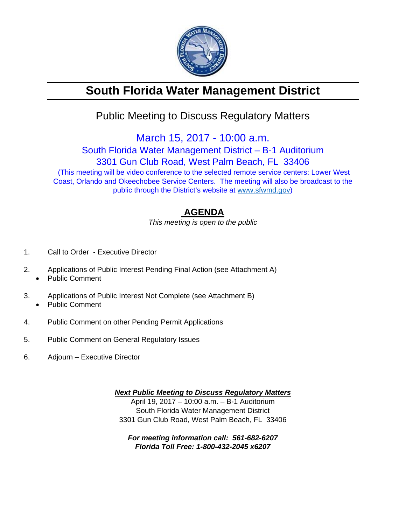

# **South Florida Water Management District**

## Public Meeting to Discuss Regulatory Matters

March 15, 2017 - 10:00 a.m.

South Florida Water Management District – B-1 Auditorium 3301 Gun Club Road, West Palm Beach, FL 33406

 (This meeting will be video conference to the selected remote service centers: Lower West Coast, Orlando and Okeechobee Service Centers. The meeting will also be broadcast to the public through the District's website at www.sfwmd.gov)

### **AGENDA**

*This meeting is open to the public* 

- 1. Call to Order Executive Director
- 2. Applications of Public Interest Pending Final Action (see Attachment A)
	- Public Comment
- 3. Applications of Public Interest Not Complete (see Attachment B) Public Comment
- 4. Public Comment on other Pending Permit Applications
- 5. Public Comment on General Regulatory Issues
- 6. Adjourn Executive Director

*Next Public Meeting to Discuss Regulatory Matters*  April 19, 2017 – 10:00 a.m. – B-1 Auditorium South Florida Water Management District 3301 Gun Club Road, West Palm Beach, FL 33406

*For meeting information call: 561-682-6207 Florida Toll Free: 1-800-432-2045 x6207*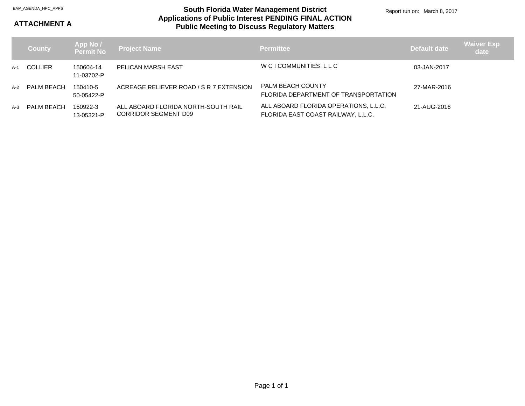#### **Applications of Public Interest PENDING FINAL ACTION Public Meeting to Discuss Regulatory Matters** BAP\_AGENDA\_HPC\_APPS **South Florida Water Management District**

Report run on: March 8, 2017

### **ATTACHMENT A**

|       | <b>County</b>  | App No /<br>Permit No   | <b>Project Name</b>                                                | <b>Permittee</b>                                                            | Default date | <b>Waiver Exp</b><br>date |
|-------|----------------|-------------------------|--------------------------------------------------------------------|-----------------------------------------------------------------------------|--------------|---------------------------|
| $A-1$ | <b>COLLIER</b> | 150604-14<br>11-03702-P | PELICAN MARSH EAST                                                 | W CI COMMUNITIES LLC                                                        | 03-JAN-2017  |                           |
| $A-2$ | PALM BEACH     | 150410-5<br>50-05422-P  | ACREAGE RELIEVER ROAD / S R 7 EXTENSION                            | <b>PALM BEACH COUNTY</b><br>FLORIDA DEPARTMENT OF TRANSPORTATION            | 27-MAR-2016  |                           |
| $A-3$ | PALM BEACH     | 150922-3<br>13-05321-P  | ALL ABOARD FLORIDA NORTH-SOUTH RAIL<br><b>CORRIDOR SEGMENT D09</b> | ALL ABOARD FLORIDA OPERATIONS, L.L.C.<br>FLORIDA EAST COAST RAILWAY, L.L.C. | 21-AUG-2016  |                           |